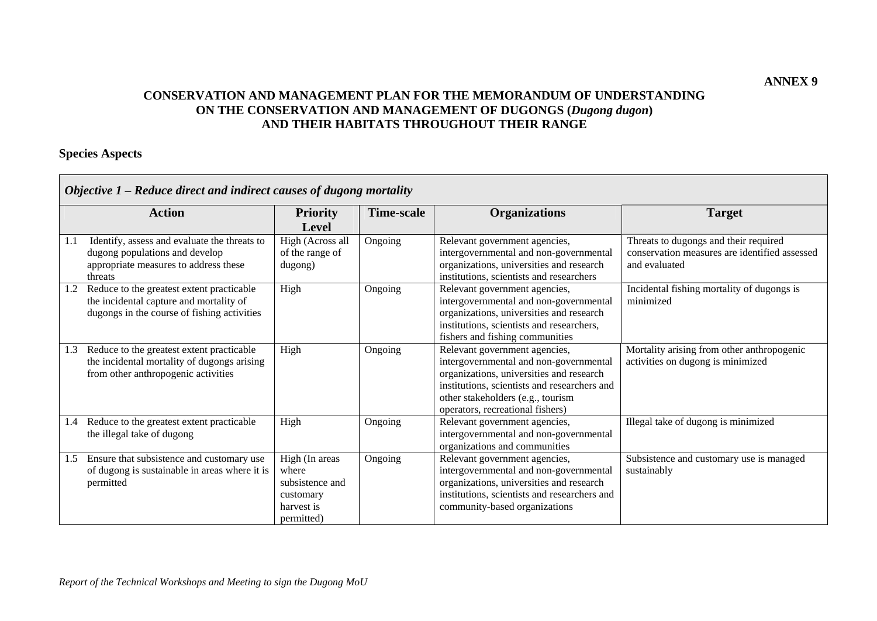# **CONSERVATION AND MANAGEMENT PLAN FOR THE MEMORANDUM OF UNDERSTANDING ON THE CONSERVATION AND MANAGEMENT OF DUGONGS (***Dugong dugon***) AND THEIR HABITATS THROUGHOUT THEIR RANGE**

# **Species Aspects**

|     | Objective 1 – Reduce direct and indirect causes of dugong mortality                                                                 |                                                                                     |                   |                                                                                                                                                                                                                                              |                                                                                                         |  |  |
|-----|-------------------------------------------------------------------------------------------------------------------------------------|-------------------------------------------------------------------------------------|-------------------|----------------------------------------------------------------------------------------------------------------------------------------------------------------------------------------------------------------------------------------------|---------------------------------------------------------------------------------------------------------|--|--|
|     | <b>Action</b>                                                                                                                       | <b>Priority</b><br>Level                                                            | <b>Time-scale</b> | <b>Organizations</b>                                                                                                                                                                                                                         | <b>Target</b>                                                                                           |  |  |
| 1.1 | Identify, assess and evaluate the threats to<br>dugong populations and develop<br>appropriate measures to address these<br>threats  | High (Across all<br>of the range of<br>dugong)                                      | Ongoing           | Relevant government agencies,<br>intergovernmental and non-governmental<br>organizations, universities and research<br>institutions, scientists and researchers                                                                              | Threats to dugongs and their required<br>conservation measures are identified assessed<br>and evaluated |  |  |
| 1.2 | Reduce to the greatest extent practicable<br>the incidental capture and mortality of<br>dugongs in the course of fishing activities | High                                                                                | Ongoing           | Relevant government agencies,<br>intergovernmental and non-governmental<br>organizations, universities and research<br>institutions, scientists and researchers,<br>fishers and fishing communities                                          | Incidental fishing mortality of dugongs is<br>minimized                                                 |  |  |
| 1.3 | Reduce to the greatest extent practicable<br>the incidental mortality of dugongs arising<br>from other anthropogenic activities     | High                                                                                | Ongoing           | Relevant government agencies,<br>intergovernmental and non-governmental<br>organizations, universities and research<br>institutions, scientists and researchers and<br>other stakeholders (e.g., tourism<br>operators, recreational fishers) | Mortality arising from other anthropogenic<br>activities on dugong is minimized                         |  |  |
| 1.4 | Reduce to the greatest extent practicable<br>the illegal take of dugong                                                             | High                                                                                | Ongoing           | Relevant government agencies,<br>intergovernmental and non-governmental<br>organizations and communities                                                                                                                                     | Illegal take of dugong is minimized                                                                     |  |  |
| 1.5 | Ensure that subsistence and customary use<br>of dugong is sustainable in areas where it is<br>permitted                             | High (In areas<br>where<br>subsistence and<br>customary<br>harvest is<br>permitted) | Ongoing           | Relevant government agencies,<br>intergovernmental and non-governmental<br>organizations, universities and research<br>institutions, scientists and researchers and<br>community-based organizations                                         | Subsistence and customary use is managed<br>sustainably                                                 |  |  |

**ANNEX 9**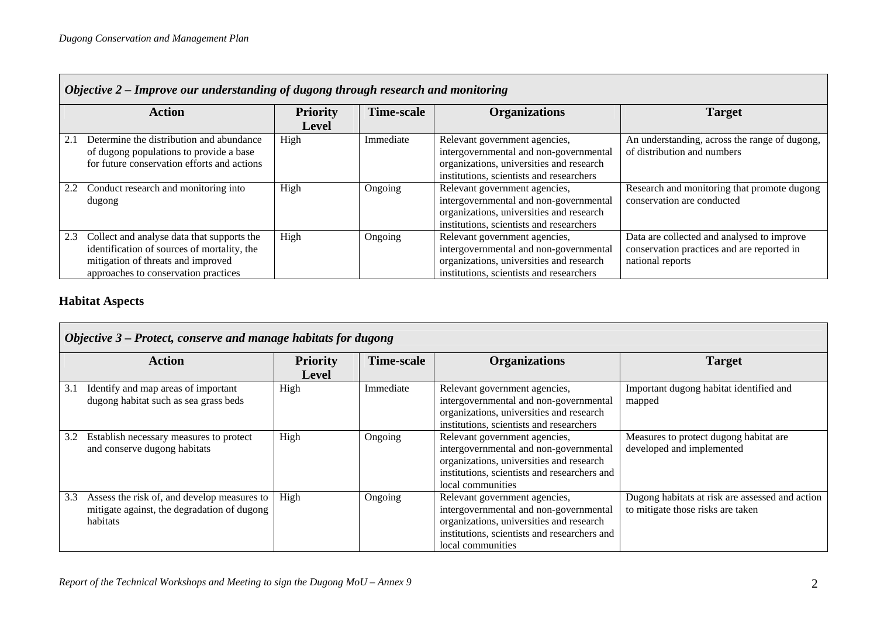|     | Objective 2 – Improve our understanding of dugong through research and monitoring                                                                                       |                 |                   |                                                                                                                                                                 |                                                                                                              |  |  |  |
|-----|-------------------------------------------------------------------------------------------------------------------------------------------------------------------------|-----------------|-------------------|-----------------------------------------------------------------------------------------------------------------------------------------------------------------|--------------------------------------------------------------------------------------------------------------|--|--|--|
|     | <b>Action</b>                                                                                                                                                           | <b>Priority</b> | <b>Time-scale</b> | <b>Organizations</b>                                                                                                                                            | <b>Target</b>                                                                                                |  |  |  |
|     |                                                                                                                                                                         | <b>Level</b>    |                   |                                                                                                                                                                 |                                                                                                              |  |  |  |
|     | Determine the distribution and abundance<br>of dugong populations to provide a base<br>for future conservation efforts and actions                                      | High            | Immediate         | Relevant government agencies,<br>intergovernmental and non-governmental<br>organizations, universities and research<br>institutions, scientists and researchers | An understanding, across the range of dugong,<br>of distribution and numbers                                 |  |  |  |
|     | 2.2 Conduct research and monitoring into<br>dugong                                                                                                                      | High            | Ongoing           | Relevant government agencies,<br>intergovernmental and non-governmental<br>organizations, universities and research<br>institutions, scientists and researchers | Research and monitoring that promote dugong<br>conservation are conducted                                    |  |  |  |
| 2.3 | Collect and analyse data that supports the<br>identification of sources of mortality, the<br>mitigation of threats and improved<br>approaches to conservation practices | High            | Ongoing           | Relevant government agencies,<br>intergovernmental and non-governmental<br>organizations, universities and research<br>institutions, scientists and researchers | Data are collected and analysed to improve<br>conservation practices and are reported in<br>national reports |  |  |  |

# **Habitat Aspects**

|     | Objective 3 – Protect, conserve and manage habitats for dugong                                         |                                 |                   |                                                                                                                                                                                          |                                                                                      |  |  |
|-----|--------------------------------------------------------------------------------------------------------|---------------------------------|-------------------|------------------------------------------------------------------------------------------------------------------------------------------------------------------------------------------|--------------------------------------------------------------------------------------|--|--|
|     | <b>Action</b>                                                                                          | <b>Priority</b><br><b>Level</b> | <b>Time-scale</b> | <b>Organizations</b>                                                                                                                                                                     | <b>Target</b>                                                                        |  |  |
| 3.1 | Identify and map areas of important<br>dugong habitat such as sea grass beds                           | High                            | Immediate         | Relevant government agencies,<br>intergovernmental and non-governmental<br>organizations, universities and research<br>institutions, scientists and researchers                          | Important dugong habitat identified and<br>mapped                                    |  |  |
| 3.2 | Establish necessary measures to protect<br>and conserve dugong habitats                                | High                            | Ongoing           | Relevant government agencies,<br>intergovernmental and non-governmental<br>organizations, universities and research<br>institutions, scientists and researchers and<br>local communities | Measures to protect dugong habitat are<br>developed and implemented                  |  |  |
| 3.3 | Assess the risk of, and develop measures to<br>mitigate against, the degradation of dugong<br>habitats | High                            | Ongoing           | Relevant government agencies,<br>intergovernmental and non-governmental<br>organizations, universities and research<br>institutions, scientists and researchers and<br>local communities | Dugong habitats at risk are assessed and action<br>to mitigate those risks are taken |  |  |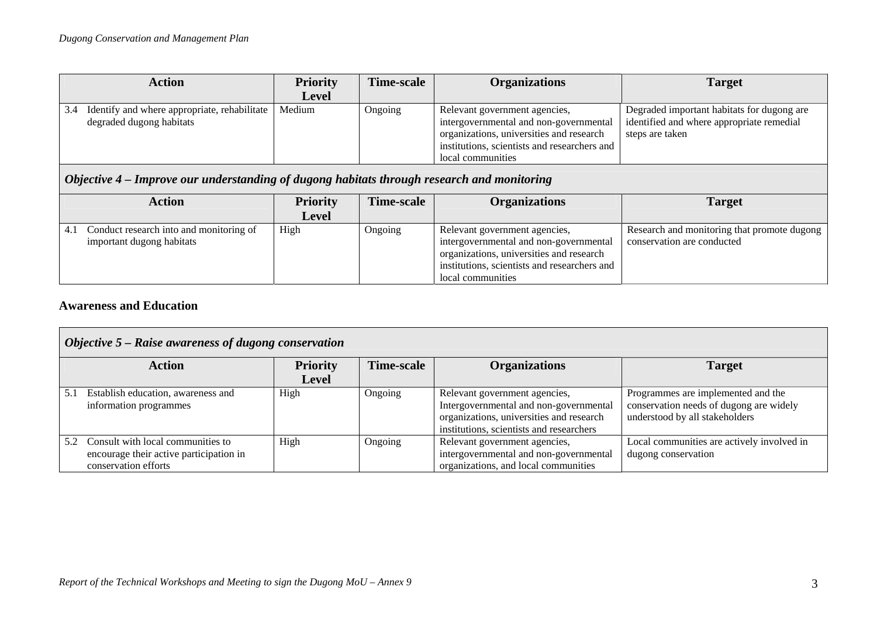| <b>Action</b>                                                                   | <b>Priority</b> | Time-scale | <b>Organizations</b>                                                                                                                                                                     | <b>Target</b>                                                                                              |
|---------------------------------------------------------------------------------|-----------------|------------|------------------------------------------------------------------------------------------------------------------------------------------------------------------------------------------|------------------------------------------------------------------------------------------------------------|
|                                                                                 | <b>Level</b>    |            |                                                                                                                                                                                          |                                                                                                            |
| Identify and where appropriate, rehabilitate<br>3.4<br>degraded dugong habitats | Medium          | Ongoing    | Relevant government agencies,<br>intergovernmental and non-governmental<br>organizations, universities and research<br>institutions, scientists and researchers and<br>local communities | Degraded important habitats for dugong are<br>identified and where appropriate remedial<br>steps are taken |

# *Objective 4 – Improve our understanding of dugong habitats through research and monitoring*

| <b>Action</b>                                                               | <b>Priority</b><br><b>Level</b> | <b>Time-scale</b> | <b>Organizations</b>                                                                                                                                                                     | <b>Target</b>                                                             |
|-----------------------------------------------------------------------------|---------------------------------|-------------------|------------------------------------------------------------------------------------------------------------------------------------------------------------------------------------------|---------------------------------------------------------------------------|
| Conduct research into and monitoring of<br>4.1<br>important dugong habitats | High                            | Ongoing           | Relevant government agencies,<br>intergovernmental and non-governmental<br>organizations, universities and research<br>institutions, scientists and researchers and<br>local communities | Research and monitoring that promote dugong<br>conservation are conducted |

### **Awareness and Education**

|     | Objective 5 - Raise awareness of dugong conservation                                                 |                 |            |                                                                                                                                                                 |                                                                                                                 |  |  |
|-----|------------------------------------------------------------------------------------------------------|-----------------|------------|-----------------------------------------------------------------------------------------------------------------------------------------------------------------|-----------------------------------------------------------------------------------------------------------------|--|--|
|     | <b>Action</b>                                                                                        | <b>Priority</b> | Time-scale | <b>Organizations</b>                                                                                                                                            | <b>Target</b>                                                                                                   |  |  |
|     |                                                                                                      | <b>Level</b>    |            |                                                                                                                                                                 |                                                                                                                 |  |  |
| 5.1 | Establish education, awareness and<br>information programmes                                         | High            | Ongoing    | Relevant government agencies,<br>Intergovernmental and non-governmental<br>organizations, universities and research<br>institutions, scientists and researchers | Programmes are implemented and the<br>conservation needs of dugong are widely<br>understood by all stakeholders |  |  |
|     | Consult with local communities to<br>encourage their active participation in<br>conservation efforts | High            | Ongoing    | Relevant government agencies,<br>intergovernmental and non-governmental<br>organizations, and local communities                                                 | Local communities are actively involved in<br>dugong conservation                                               |  |  |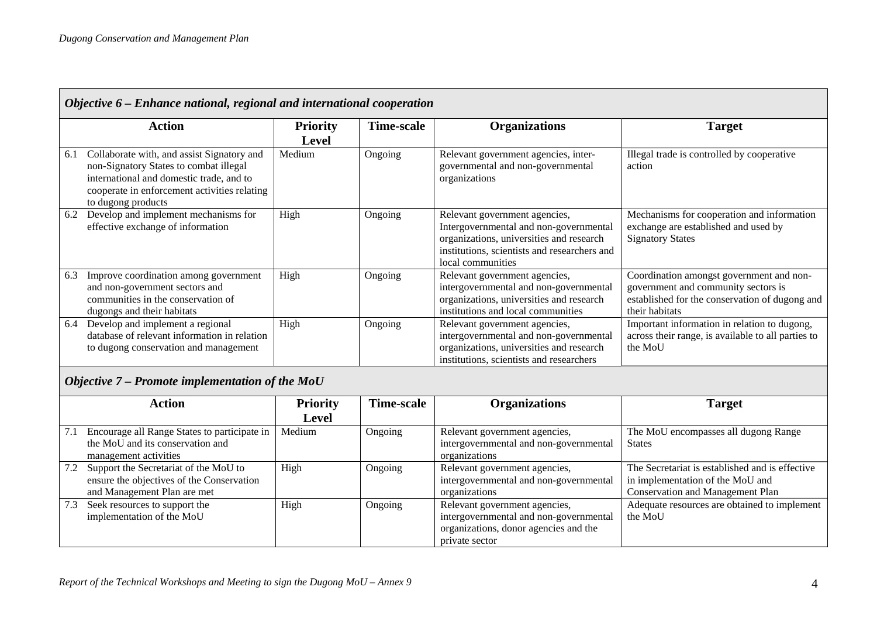|     | Objective 6 – Enhance national, regional and international cooperation                                                                                                                                 |                          |                   |                                                                                                                                                                                          |                                                                                                                                                     |  |  |
|-----|--------------------------------------------------------------------------------------------------------------------------------------------------------------------------------------------------------|--------------------------|-------------------|------------------------------------------------------------------------------------------------------------------------------------------------------------------------------------------|-----------------------------------------------------------------------------------------------------------------------------------------------------|--|--|
|     | <b>Action</b>                                                                                                                                                                                          | <b>Priority</b><br>Level | <b>Time-scale</b> | <b>Organizations</b>                                                                                                                                                                     | <b>Target</b>                                                                                                                                       |  |  |
| 6.1 | Collaborate with, and assist Signatory and<br>non-Signatory States to combat illegal<br>international and domestic trade, and to<br>cooperate in enforcement activities relating<br>to dugong products | Medium                   | Ongoing           | Relevant government agencies, inter-<br>governmental and non-governmental<br>organizations                                                                                               | Illegal trade is controlled by cooperative<br>action                                                                                                |  |  |
| 6.2 | Develop and implement mechanisms for<br>effective exchange of information                                                                                                                              | High                     | Ongoing           | Relevant government agencies,<br>Intergovernmental and non-governmental<br>organizations, universities and research<br>institutions, scientists and researchers and<br>local communities | Mechanisms for cooperation and information<br>exchange are established and used by<br><b>Signatory States</b>                                       |  |  |
| 6.3 | Improve coordination among government<br>and non-government sectors and<br>communities in the conservation of<br>dugongs and their habitats                                                            | High                     | Ongoing           | Relevant government agencies,<br>intergovernmental and non-governmental<br>organizations, universities and research<br>institutions and local communities                                | Coordination amongst government and non-<br>government and community sectors is<br>established for the conservation of dugong and<br>their habitats |  |  |
| 6.4 | Develop and implement a regional<br>database of relevant information in relation<br>to dugong conservation and management                                                                              | High                     | Ongoing           | Relevant government agencies,<br>intergovernmental and non-governmental<br>organizations, universities and research<br>institutions, scientists and researchers                          | Important information in relation to dugong,<br>across their range, is available to all parties to<br>the MoU                                       |  |  |

# *Objective 7 – Promote implementation of the MoU*

|     | <b>Action</b>                                                                                                     | <b>Priority</b> | <b>Time-scale</b> | <b>Organizations</b>                                                                                                               | <b>Target</b>                                                                                                                  |
|-----|-------------------------------------------------------------------------------------------------------------------|-----------------|-------------------|------------------------------------------------------------------------------------------------------------------------------------|--------------------------------------------------------------------------------------------------------------------------------|
|     |                                                                                                                   | <b>Level</b>    |                   |                                                                                                                                    |                                                                                                                                |
| 7.1 | Encourage all Range States to participate in<br>the MoU and its conservation and<br>management activities         | Medium          | Ongoing           | Relevant government agencies,<br>intergovernmental and non-governmental<br>organizations                                           | The MoU encompasses all dugong Range<br><b>States</b>                                                                          |
| 7.2 | Support the Secretariat of the MoU to<br>ensure the objectives of the Conservation<br>and Management Plan are met | High            | Ongoing           | Relevant government agencies,<br>intergovernmental and non-governmental<br>organizations                                           | The Secretariat is established and is effective<br>in implementation of the MoU and<br><b>Conservation and Management Plan</b> |
| 7.3 | Seek resources to support the<br>implementation of the MoU                                                        | High            | Ongoing           | Relevant government agencies,<br>intergovernmental and non-governmental<br>organizations, donor agencies and the<br>private sector | Adequate resources are obtained to implement<br>the MoU                                                                        |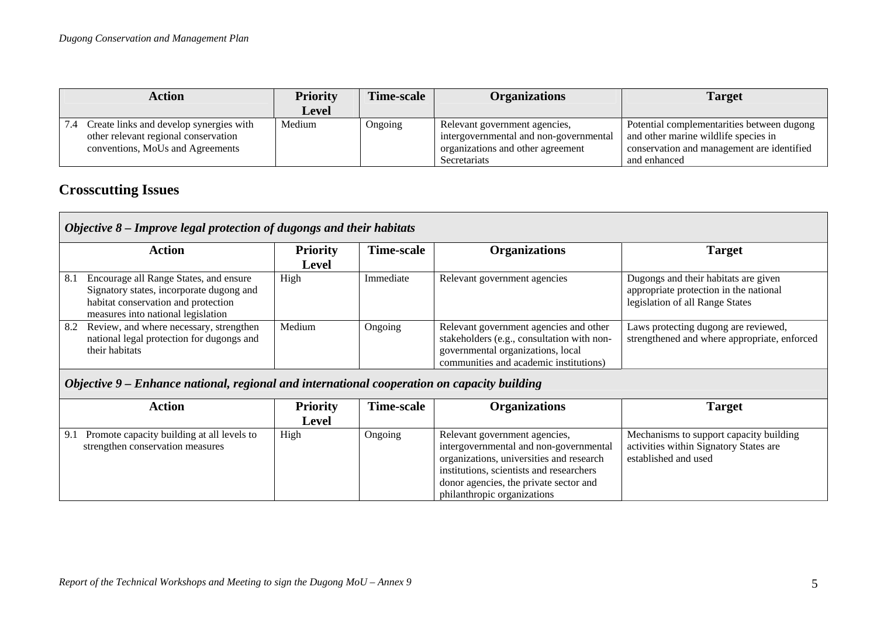| Action                                                                                                              | <b>Priority</b> | Time-scale | <b>Organizations</b>                                                                                                         | <b>Target</b>                                                                                                                                    |
|---------------------------------------------------------------------------------------------------------------------|-----------------|------------|------------------------------------------------------------------------------------------------------------------------------|--------------------------------------------------------------------------------------------------------------------------------------------------|
|                                                                                                                     | <b>Level</b>    |            |                                                                                                                              |                                                                                                                                                  |
| Create links and develop synergies with<br>other relevant regional conservation<br>conventions, MoUs and Agreements | Medium          | Ongoing    | Relevant government agencies,<br>intergovernmental and non-governmental<br>organizations and other agreement<br>Secretariats | Potential complementarities between dugong<br>and other marine wildlife species in<br>conservation and management are identified<br>and enhanced |

# **Crosscutting Issues**

|     | Objective 8 - Improve legal protection of dugongs and their habitats                                                                                            |                                 |            |                                                                                                                                                                     |                                                                                                                   |  |  |
|-----|-----------------------------------------------------------------------------------------------------------------------------------------------------------------|---------------------------------|------------|---------------------------------------------------------------------------------------------------------------------------------------------------------------------|-------------------------------------------------------------------------------------------------------------------|--|--|
|     | <b>Action</b>                                                                                                                                                   | <b>Priority</b><br><b>Level</b> | Time-scale | <b>Organizations</b>                                                                                                                                                | <b>Target</b>                                                                                                     |  |  |
| 8.1 | Encourage all Range States, and ensure<br>Signatory states, incorporate dugong and<br>habitat conservation and protection<br>measures into national legislation | High                            | Immediate  | Relevant government agencies                                                                                                                                        | Dugongs and their habitats are given<br>appropriate protection in the national<br>legislation of all Range States |  |  |
| 8.2 | Review, and where necessary, strengthen<br>national legal protection for dugongs and<br>their habitats                                                          | Medium                          | Ongoing    | Relevant government agencies and other<br>stakeholders (e.g., consultation with non-<br>governmental organizations, local<br>communities and academic institutions) | Laws protecting dugong are reviewed,<br>strengthened and where appropriate, enforced                              |  |  |
|     | Objective 9 – Enhance national, regional and international cooperation on capacity building<br><b>FIRE</b><br>$\mathbf{r}$                                      |                                 |            |                                                                                                                                                                     |                                                                                                                   |  |  |

| Action                                                                                | <b>Priority</b><br>Level | Time-scale | <b>Organizations</b>                                                                                                                                                                                                                     | <b>Target</b>                                                                                             |
|---------------------------------------------------------------------------------------|--------------------------|------------|------------------------------------------------------------------------------------------------------------------------------------------------------------------------------------------------------------------------------------------|-----------------------------------------------------------------------------------------------------------|
| Promote capacity building at all levels to<br>9.1<br>strengthen conservation measures | High                     | Ongoing    | Relevant government agencies,<br>intergovernmental and non-governmental<br>organizations, universities and research<br>institutions, scientists and researchers<br>donor agencies, the private sector and<br>philanthropic organizations | Mechanisms to support capacity building<br>activities within Signatory States are<br>established and used |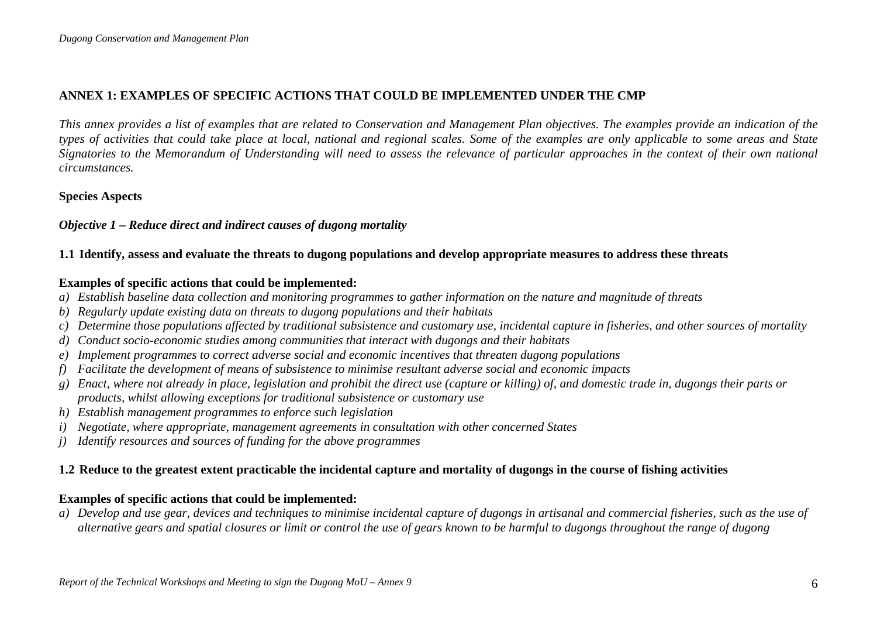# **ANNEX 1: EXAMPLES OF SPECIFIC ACTIONS THAT COULD BE IMPLEMENTED UNDER THE CMP**

*This annex provides a list of examples that are related to Conservation and Management Plan objectives. The examples provide an indication of the types of activities that could take place at local, national and regional scales. Some of the examples are only applicable to some areas and State Signatories to the Memorandum of Understanding will need to assess the relevance of particular approaches in the context of their own national circumstances.* 

#### **Species Aspects**

#### *Objective 1 – Reduce direct and indirect causes of dugong mortality*

#### **1.1 Identify, assess and evaluate the threats to dugong populations and develop appropriate measures to address these threats**

#### **Examples of specific actions that could be implemented:**

- *a) Establish baseline data collection and monitoring programmes to gather information on the nature and magnitude of threats*
- *b) Regularly update existing data on threats to dugong populations and their habitats*
- *c) Determine those populations affected by traditional subsistence and customary use, incidental capture in fisheries, and other sources of mortality*
- *d) Conduct socio-economic studies among communities that interact with dugongs and their habitats*
- *e) Implement programmes to correct adverse social and economic incentives that threaten dugong populations*
- *f) Facilitate the development of means of subsistence to minimise resultant adverse social and economic impacts*
- *g) Enact, where not already in place, legislation and prohibit the direct use (capture or killing) of, and domestic trade in, dugongs their parts or products, whilst allowing exceptions for traditional subsistence or customary use*
- *h) Establish management programmes to enforce such legislation*
- *i) Negotiate, where appropriate, management agreements in consultation with other concerned States*
- *j) Identify resources and sources of funding for the above programmes*

# **1.2 Reduce to the greatest extent practicable the incidental capture and mortality of dugongs in the course of fishing activities**

#### **Examples of specific actions that could be implemented:**

*a) Develop and use gear, devices and techniques to minimise incidental capture of dugongs in artisanal and commercial fisheries, such as the use of alternative gears and spatial closures or limit or control the use of gears known to be harmful to dugongs throughout the range of dugong*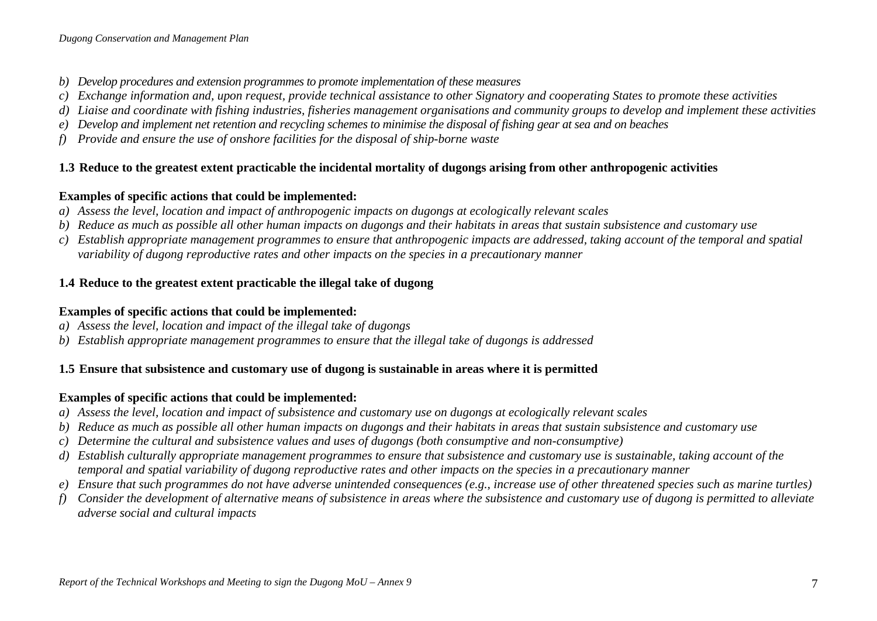- *b) Develop procedures and extension programmes to promote implementation of these measures*
- *c) Exchange information and, upon request, provide technical assistance to other Signatory and cooperating States to promote these activities*
- *d) Liaise and coordinate with fishing industries, fisheries management organisations and community groups to develop and implement these activities*
- *e) Develop and implement net retention and recycling schemes to minimise the disposal of fishing gear at sea and on beaches*
- *f) Provide and ensure the use of onshore facilities for the disposal of ship-borne waste*

# **1.3 Reduce to the greatest extent practicable the incidental mortality of dugongs arising from other anthropogenic activities**

# **Examples of specific actions that could be implemented:**

- *a) Assess the level, location and impact of anthropogenic impacts on dugongs at ecologically relevant scales*
- *b) Reduce as much as possible all other human impacts on dugongs and their habitats in areas that sustain subsistence and customary use*
- *c) Establish appropriate management programmes to ensure that anthropogenic impacts are addressed, taking account of the temporal and spatial variability of dugong reproductive rates and other impacts on the species in a precautionary manner*

# **1.4 Reduce to the greatest extent practicable the illegal take of dugong**

# **Examples of specific actions that could be implemented:**

- *a) Assess the level, location and impact of the illegal take of dugongs*
- *b) Establish appropriate management programmes to ensure that the illegal take of dugongs is addressed*

# **1.5 Ensure that subsistence and customary use of dugong is sustainable in areas where it is permitted**

- *a) Assess the level, location and impact of subsistence and customary use on dugongs at ecologically relevant scales*
- *b) Reduce as much as possible all other human impacts on dugongs and their habitats in areas that sustain subsistence and customary use*
- *c) Determine the cultural and subsistence values and uses of dugongs (both consumptive and non-consumptive)*
- *d) Establish culturally appropriate management programmes to ensure that subsistence and customary use is sustainable, taking account of the temporal and spatial variability of dugong reproductive rates and other impacts on the species in a precautionary manner*
- *e) Ensure that such programmes do not have adverse unintended consequences (e.g., increase use of other threatened species such as marine turtles)*
- *f) Consider the development of alternative means of subsistence in areas where the subsistence and customary use of dugong is permitted to alleviate adverse social and cultural impacts*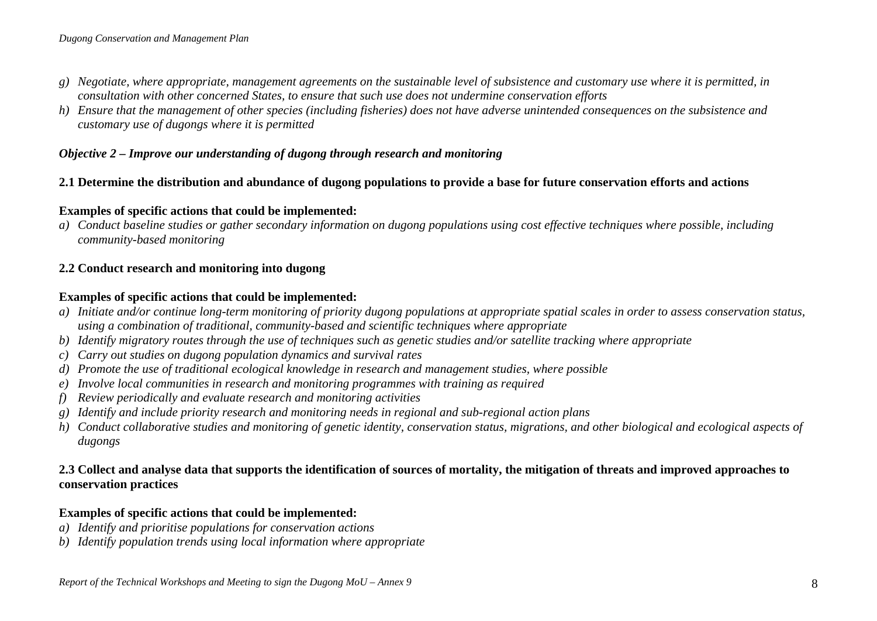- *g) Negotiate, where appropriate, management agreements on the sustainable level of subsistence and customary use where it is permitted, in consultation with other concerned States, to ensure that such use does not undermine conservation efforts*
- *h) Ensure that the management of other species (including fisheries) does not have adverse unintended consequences on the subsistence and customary use of dugongs where it is permitted*

#### *Objective 2 – Improve our understanding of dugong through research and monitoring*

# **2.1 Determine the distribution and abundance of dugong populations to provide a base for future conservation efforts and actions**

# **Examples of specific actions that could be implemented:**

*a) Conduct baseline studies or gather secondary information on dugong populations using cost effective techniques where possible, including community-based monitoring* 

# **2.2 Conduct research and monitoring into dugong**

# **Examples of specific actions that could be implemented:**

- *a) Initiate and/or continue long-term monitoring of priority dugong populations at appropriate spatial scales in order to assess conservation status, using a combination of traditional, community-based and scientific techniques where appropriate*
- *b) Identify migratory routes through the use of techniques such as genetic studies and/or satellite tracking where appropriate*
- *c) Carry out studies on dugong population dynamics and survival rates*
- *d) Promote the use of traditional ecological knowledge in research and management studies, where possible*
- *e) Involve local communities in research and monitoring programmes with training as required*
- *f) Review periodically and evaluate research and monitoring activities*
- *g) Identify and include priority research and monitoring needs in regional and sub-regional action plans*
- *h) Conduct collaborative studies and monitoring of genetic identity, conservation status, migrations, and other biological and ecological aspects of dugongs*

# **2.3 Collect and analyse data that supports the identification of sources of mortality, the mitigation of threats and improved approaches to conservation practices**

- *a) Identify and prioritise populations for conservation actions*
- *b) Identify population trends using local information where appropriate*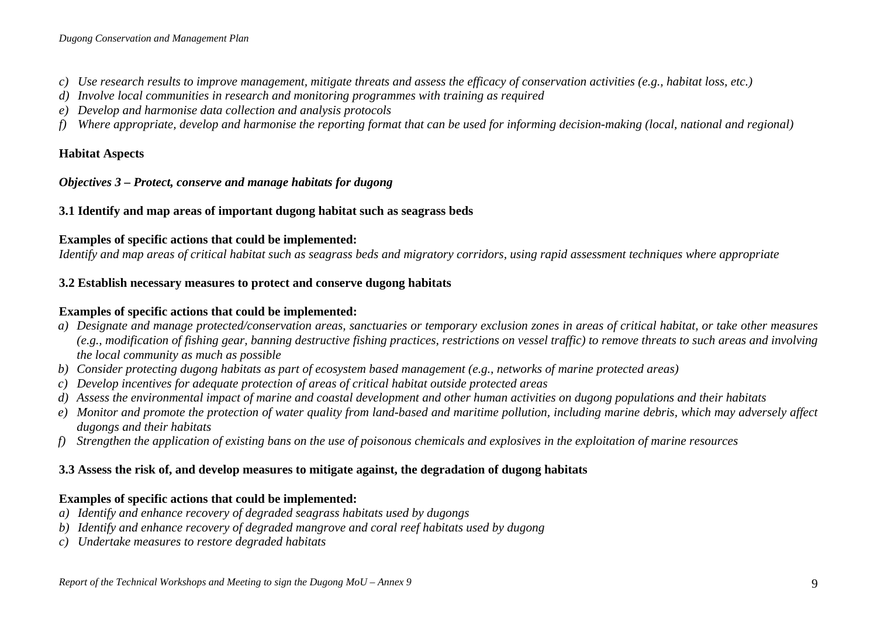- *c) Use research results to improve management, mitigate threats and assess the efficacy of conservation activities (e.g., habitat loss, etc.)*
- *d) Involve local communities in research and monitoring programmes with training as required*
- *e) Develop and harmonise data collection and analysis protocols*
- *f) Where appropriate, develop and harmonise the reporting format that can be used for informing decision-making (local, national and regional)*

# **Habitat Aspects**

### *Objectives 3 – Protect, conserve and manage habitats for dugong*

# **3.1 Identify and map areas of important dugong habitat such as seagrass beds**

# **Examples of specific actions that could be implemented:**

*Identify and map areas of critical habitat such as seagrass beds and migratory corridors, using rapid assessment techniques where appropriate* 

# **3.2 Establish necessary measures to protect and conserve dugong habitats**

# **Examples of specific actions that could be implemented:**

- *a) Designate and manage protected/conservation areas, sanctuaries or temporary exclusion zones in areas of critical habitat, or take other measures (e.g., modification of fishing gear, banning destructive fishing practices, restrictions on vessel traffic) to remove threats to such areas and involving the local community as much as possible*
- *b) Consider protecting dugong habitats as part of ecosystem based management (e.g., networks of marine protected areas)*
- *c) Develop incentives for adequate protection of areas of critical habitat outside protected areas*
- *d) Assess the environmental impact of marine and coastal development and other human activities on dugong populations and their habitats*
- *e) Monitor and promote the protection of water quality from land-based and maritime pollution, including marine debris, which may adversely affect dugongs and their habitats*
- *f) Strengthen the application of existing bans on the use of poisonous chemicals and explosives in the exploitation of marine resources*

# **3.3 Assess the risk of, and develop measures to mitigate against, the degradation of dugong habitats**

- *a) Identify and enhance recovery of degraded seagrass habitats used by dugongs*
- *b) Identify and enhance recovery of degraded mangrove and coral reef habitats used by dugong*
- *c) Undertake measures to restore degraded habitats*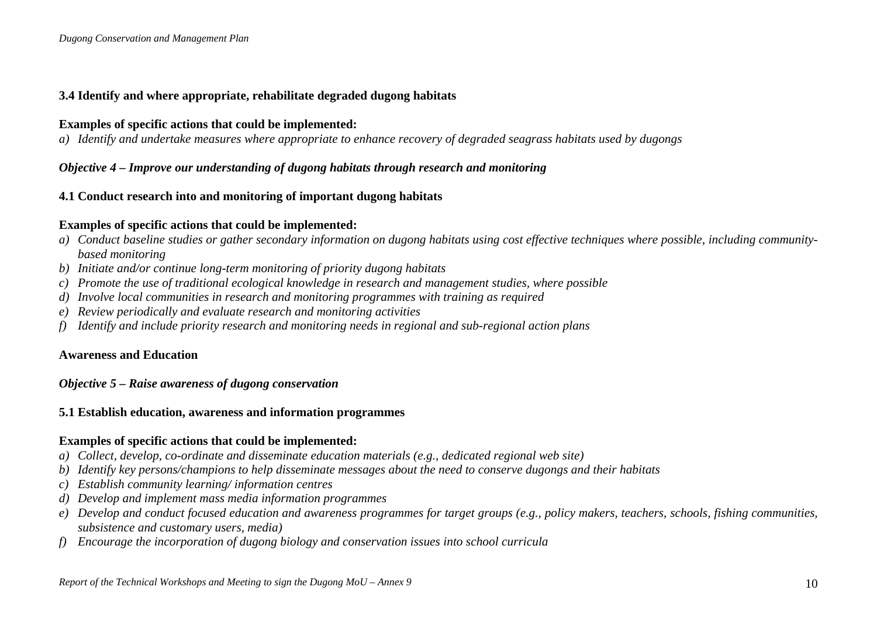### **3.4 Identify and where appropriate, rehabilitate degraded dugong habitats**

#### **Examples of specific actions that could be implemented:**

*a) Identify and undertake measures where appropriate to enhance recovery of degraded seagrass habitats used by dugongs* 

### *Objective 4 – Improve our understanding of dugong habitats through research and monitoring*

### **4.1 Conduct research into and monitoring of important dugong habitats**

#### **Examples of specific actions that could be implemented:**

- *a) Conduct baseline studies or gather secondary information on dugong habitats using cost effective techniques where possible, including communitybased monitoring*
- *b) Initiate and/or continue long-term monitoring of priority dugong habitats*
- *c) Promote the use of traditional ecological knowledge in research and management studies, where possible*
- *d) Involve local communities in research and monitoring programmes with training as required*
- *e) Review periodically and evaluate research and monitoring activities*
- *f) Identify and include priority research and monitoring needs in regional and sub-regional action plans*

#### **Awareness and Education**

# *Objective 5 – Raise awareness of dugong conservation*

#### **5.1 Establish education, awareness and information programmes**

- *a) Collect, develop, co-ordinate and disseminate education materials (e.g., dedicated regional web site)*
- *b) Identify key persons/champions to help disseminate messages about the need to conserve dugongs and their habitats*
- *c) Establish community learning/ information centres*
- *d) Develop and implement mass media information programmes*
- *e) Develop and conduct focused education and awareness programmes for target groups (e.g., policy makers, teachers, schools, fishing communities, subsistence and customary users, media)*
- *f) Encourage the incorporation of dugong biology and conservation issues into school curricula*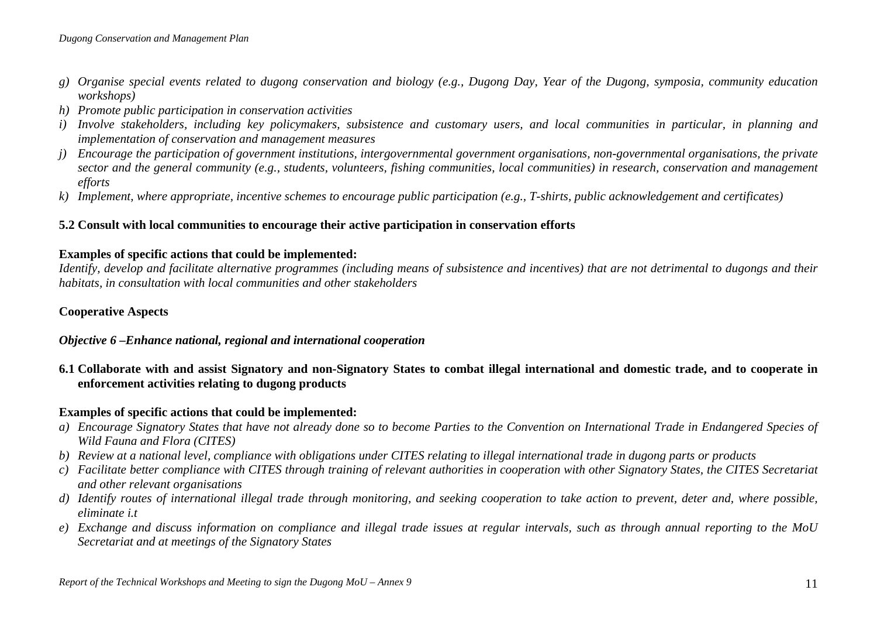- *g) Organise special events related to dugong conservation and biology (e.g., Dugong Day, Year of the Dugong, symposia, community education workshops)*
- *h) Promote public participation in conservation activities*
- *i) Involve stakeholders, including key policymakers, subsistence and customary users, and local communities in particular, in planning and implementation of conservation and management measures*
- *j)* Encourage the participation of government institutions, intergovernmental government organisations, non-governmental organisations, the private *sector and the general community (e.g., students, volunteers, fishing communities, local communities) in research, conservation and management efforts*
- *k) Implement, where appropriate, incentive schemes to encourage public participation (e.g., T-shirts, public acknowledgement and certificates)*

### **5.2 Consult with local communities to encourage their active participation in conservation efforts**

#### **Examples of specific actions that could be implemented:**

*Identify, develop and facilitate alternative programmes (including means of subsistence and incentives) that are not detrimental to dugongs and their habitats, in consultation with local communities and other stakeholders* 

# **Cooperative Aspects**

# *Objective 6 –Enhance national, regional and international cooperation*

**6.1 Collaborate with and assist Signatory and non-Signatory States to combat illegal international and domestic trade, and to cooperate in enforcement activities relating to dugong products** 

- *a) Encourage Signatory States that have not already done so to become Parties to the Convention on International Trade in Endangered Species of Wild Fauna and Flora (CITES)*
- *b) Review at a national level, compliance with obligations under CITES relating to illegal international trade in dugong parts or products*
- *c) Facilitate better compliance with CITES through training of relevant authorities in cooperation with other Signatory States, the CITES Secretariat and other relevant organisations*
- *d) Identify routes of international illegal trade through monitoring, and seeking cooperation to take action to prevent, deter and, where possible, eliminate i.t*
- *e) Exchange and discuss information on compliance and illegal trade issues at regular intervals, such as through annual reporting to the MoU Secretariat and at meetings of the Signatory States*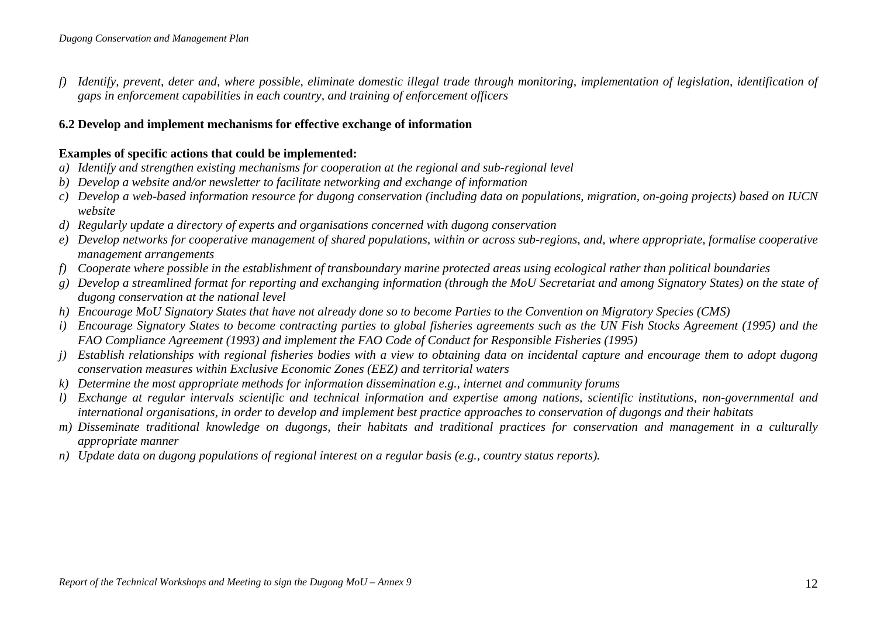*f) Identify, prevent, deter and, where possible, eliminate domestic illegal trade through monitoring, implementation of legislation, identification of gaps in enforcement capabilities in each country, and training of enforcement officers*

### **6.2 Develop and implement mechanisms for effective exchange of information**

- *a) Identify and strengthen existing mechanisms for cooperation at the regional and sub-regional level*
- *b) Develop a website and/or newsletter to facilitate networking and exchange of information*
- *c) Develop a web-based information resource for dugong conservation (including data on populations, migration, on-going projects) based on IUCN website*
- *d) Regularly update a directory of experts and organisations concerned with dugong conservation*
- *e) Develop networks for cooperative management of shared populations, within or across sub-regions, and, where appropriate, formalise cooperative management arrangements*
- *f) Cooperate where possible in the establishment of transboundary marine protected areas using ecological rather than political boundaries*
- *g) Develop a streamlined format for reporting and exchanging information (through the MoU Secretariat and among Signatory States) on the state of dugong conservation at the national level*
- *h) Encourage MoU Signatory States that have not already done so to become Parties to the Convention on Migratory Species (CMS)*
- *i) Encourage Signatory States to become contracting parties to global fisheries agreements such as the UN Fish Stocks Agreement (1995) and the FAO Compliance Agreement (1993) and implement the FAO Code of Conduct for Responsible Fisheries (1995)*
- *j) Establish relationships with regional fisheries bodies with a view to obtaining data on incidental capture and encourage them to adopt dugong conservation measures within Exclusive Economic Zones (EEZ) and territorial waters*
- *k) Determine the most appropriate methods for information dissemination e.g., internet and community forums*
- *l) Exchange at regular intervals scientific and technical information and expertise among nations, scientific institutions, non-governmental and international organisations, in order to develop and implement best practice approaches to conservation of dugongs and their habitats*
- *m) Disseminate traditional knowledge on dugongs, their habitats and traditional practices for conservation and management in a culturally appropriate manner*
- *n) Update data on dugong populations of regional interest on a regular basis (e.g., country status reports).*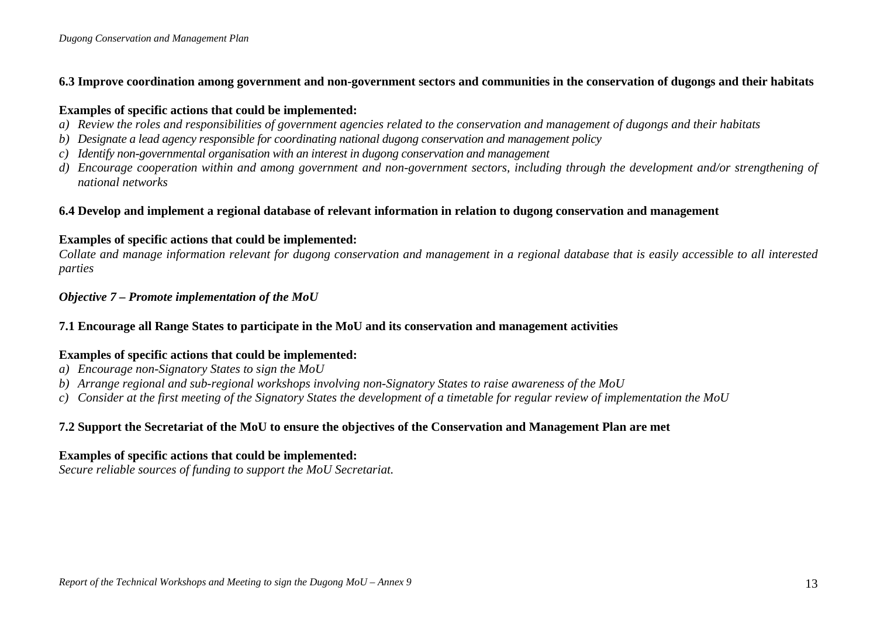### **6.3 Improve coordination among government and non-government sectors and communities in the conservation of dugongs and their habitats**

### **Examples of specific actions that could be implemented:**

- *a) Review the roles and responsibilities of government agencies related to the conservation and management of dugongs and their habitats*
- *b) Designate a lead agency responsible for coordinating national dugong conservation and management policy*
- *c) Identify non-governmental organisation with an interest in dugong conservation and management*
- *d) Encourage cooperation within and among government and non-government sectors, including through the development and/or strengthening of national networks*

# **6.4 Develop and implement a regional database of relevant information in relation to dugong conservation and management**

# **Examples of specific actions that could be implemented:**

*Collate and manage information relevant for dugong conservation and management in a regional database that is easily accessible to all interested parties* 

# *Objective 7 – Promote implementation of the MoU*

# **7.1 Encourage all Range States to participate in the MoU and its conservation and management activities**

# **Examples of specific actions that could be implemented:**

- *a) Encourage non-Signatory States to sign the MoU*
- *b) Arrange regional and sub-regional workshops involving non-Signatory States to raise awareness of the MoU*
- *c) Consider at the first meeting of the Signatory States the development of a timetable for regular review of implementation the MoU*

# **7.2 Support the Secretariat of the MoU to ensure the objectives of the Conservation and Management Plan are met**

# **Examples of specific actions that could be implemented:**

*Secure reliable sources of funding to support the MoU Secretariat.*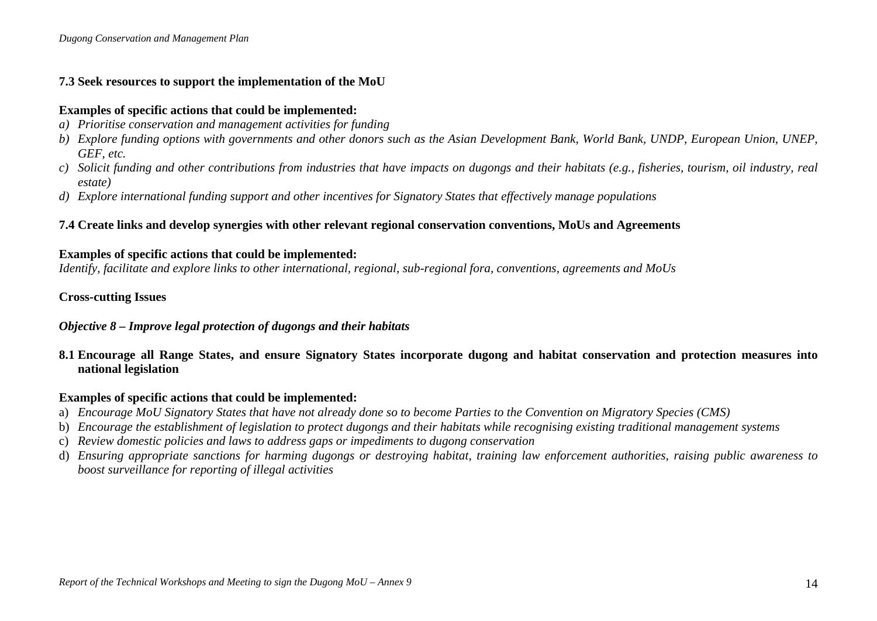# **7.3 Seek resources to support the implementation of the MoU**

### **Examples of specific actions that could be implemented:**

- *a) Prioritise conservation and management activities for funding*
- *b) Explore funding options with governments and other donors such as the Asian Development Bank, World Bank, UNDP, European Union, UNEP, GEF, etc.*
- *c) Solicit funding and other contributions from industries that have impacts on dugongs and their habitats (e.g., fisheries, tourism, oil industry, real estate)*
- *d) Explore international funding support and other incentives for Signatory States that effectively manage populations*

# **7.4 Create links and develop synergies with other relevant regional conservation conventions, MoUs and Agreements**

# **Examples of specific actions that could be implemented:**

*Identify, facilitate and explore links to other international, regional, sub-regional fora, conventions, agreements and MoUs* 

# **Cross-cutting Issues**

# *Objective 8 – Improve legal protection of dugongs and their habitats*

**8.1 Encourage all Range States, and ensure Signatory States incorporate dugong and habitat conservation and protection measures into national legislation** 

- a) *Encourage MoU Signatory States that have not already done so to become Parties to the Convention on Migratory Species (CMS)*
- b) *Encourage the establishment of legislation to protect dugongs and their habitats while recognising existing traditional management systems*
- c) *Review domestic policies and laws to address gaps or impediments to dugong conservation*
- d) *Ensuring appropriate sanctions for harming dugongs or destroying habitat, training law enforcement authorities, raising public awareness to boost surveillance for reporting of illegal activities*